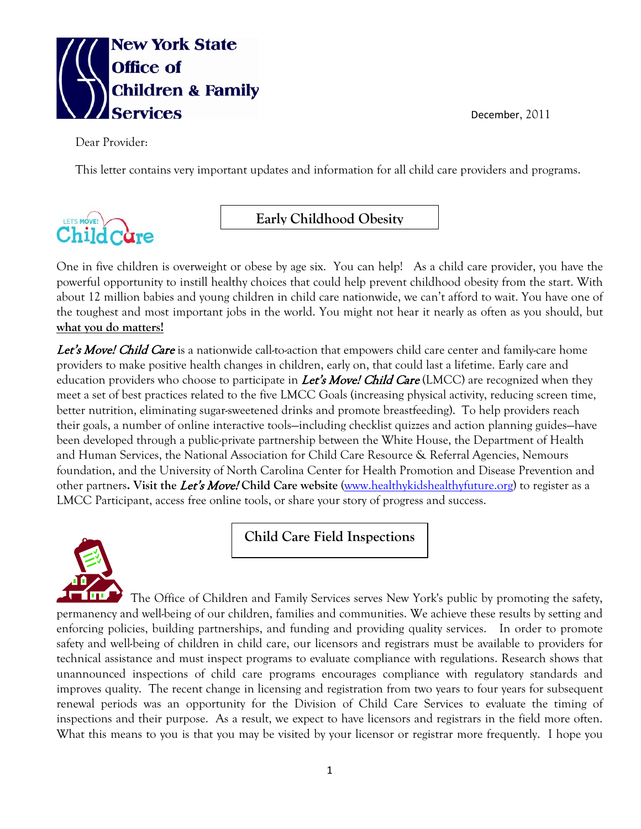

December, 2011

Dear Provider:

This letter contains very important updates and information for all child care providers and programs.

## ${\rm Child\,C}$ àre

**Early Childhood Obesity** 

One in five children is overweight or obese by age six. You can help! As a child care provider, you have the powerful opportunity to instill healthy choices that could help prevent childhood obesity from the start. With about 12 million babies and young children in child care nationwide, we can't afford to wait. You have one of the toughest and most important jobs in the world. You might not hear it nearly as often as you should, but **what you do matters!**

Let's Move! Child Care is a nationwide call-to-action that empowers child care center and family-care home providers to make positive health changes in children, early on, that could last a lifetime. Early care and education providers who choose to participate in *Let's Move! Child Care* (LMCC) are recognized when they meet a set of best practices related to the five LMCC Goals (increasing physical activity, reducing screen time, better nutrition, eliminating sugar-sweetened drinks and promote breastfeeding). To help providers reach their goals, a number of online interactive tools—including checklist quizzes and action planning guides—have been developed through a public-private partnership between the White House, the Department of Health and Human Services, the National Association for Child Care Resource & Referral Agencies, Nemours foundation, and the University of North Carolina Center for Health Promotion and Disease Prevention and other partners**. Visit the** Let's Move! **Child Care website** [\(www.healthykidshealthyfuture.org\)](http://www.healthykidshealthyfuture.org/) to register as a LMCC Participant, access free online tools, or share your story of progress and success.



**Child Care Field Inspections**

The Office of Children and Family Services serves New York's public by promoting the safety, permanency and well-being of our children, families and communities. We achieve these results by setting and enforcing policies, building partnerships, and funding and providing quality services. In order to promote safety and well-being of children in child care, our licensors and registrars must be available to providers for technical assistance and must inspect programs to evaluate compliance with regulations. Research shows that unannounced inspections of child care programs encourages compliance with regulatory standards and improves quality. The recent change in licensing and registration from two years to four years for subsequent renewal periods was an opportunity for the Division of Child Care Services to evaluate the timing of inspections and their purpose. As a result, we expect to have licensors and registrars in the field more often. What this means to you is that you may be visited by your licensor or registrar more frequently. I hope you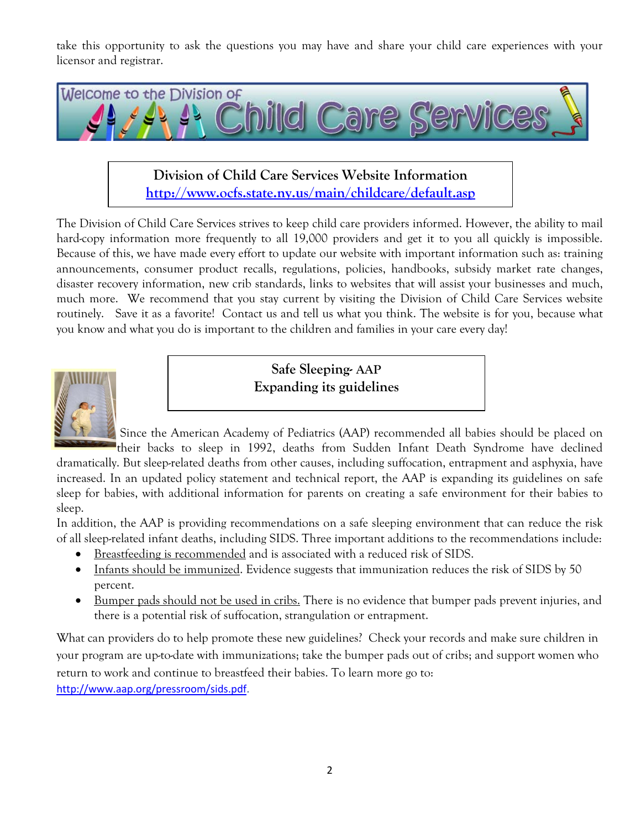take this opportunity to ask the questions you may have and share your child care experiences with your licensor and registrar.



**Division of Child Care Services Website Information <http://www.ocfs.state.ny.us/main/childcare/default.asp>**

The Division of Child Care Services strives to keep child care providers informed. However, the ability to mail hard-copy information more frequently to all 19,000 providers and get it to you all quickly is impossible. Because of this, we have made every effort to update our website with important information such as: training announcements, consumer product recalls, regulations, policies, handbooks, subsidy market rate changes, disaster recovery information, new crib standards, links to websites that will assist your businesses and much, much more. We recommend that you stay current by visiting the Division of Child Care Services website routinely. Save it as a favorite! Contact us and tell us what you think. The website is for you, because what you know and what you do is important to the children and families in your care every day!



**Safe Sleeping- AAP Expanding its guidelines**

Since the American Academy of Pediatrics (AAP) recommended all babies should be placed on

their backs to sleep in 1992, deaths from Sudden Infant Death Syndrome have declined dramatically. But sleep-related deaths from other causes, including suffocation, entrapment and asphyxia, have increased. In an updated policy statement and technical report, the AAP is expanding its guidelines on safe sleep for babies, with additional information for parents on creating a safe environment for their babies to sleep.

In addition, the AAP is providing recommendations on a safe sleeping environment that can reduce the risk of all sleep-related infant deaths, including SIDS. Three important additions to the recommendations include:

- Breastfeeding is recommended and is associated with a reduced risk of SIDS.
- Infants should be immunized. Evidence suggests that immunization reduces the risk of SIDS by 50 percent.
- Bumper pads should not be used in cribs. There is no evidence that bumper pads prevent injuries, and there is a potential risk of suffocation, strangulation or entrapment.

What can providers do to help promote these new guidelines? Check your records and make sure children in your program are up-to-date with immunizations; take the bumper pads out of cribs; and support women who return to work and continue to breastfeed their babies. To learn more go to:

[http://www.aap.org/pressroom/sids.pdf.](http://www.aap.org/pressroom/sids.pdf)